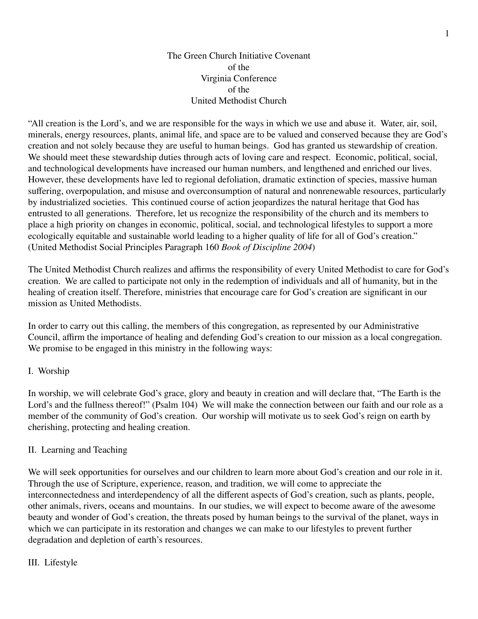## The Green Church Initiative Covenant of the Virginia Conference of the United Methodist Church

"All creation is the Lord's, and we are responsible for the ways in which we use and abuse it. Water, air, soil, minerals, energy resources, plants, animal life, and space are to be valued and conserved because they are God's creation and not solely because they are useful to human beings. God has granted us stewardship of creation. We should meet these stewardship duties through acts of loving care and respect. Economic, political, social, and technological developments have increased our human numbers, and lengthened and enriched our lives. However, these developments have led to regional defoliation, dramatic extinction of species, massive human suffering, overpopulation, and misuse and overconsumption of natural and nonrenewable resources, particularly by industrialized societies. This continued course of action jeopardizes the natural heritage that God has entrusted to all generations. Therefore, let us recognize the responsibility of the church and its members to place a high priority on changes in economic, political, social, and technological lifestyles to support a more ecologically equitable and sustainable world leading to a higher quality of life for all of God's creation." (United Methodist Social Principles Paragraph 160 *Book of Discipline 2004*)

The United Methodist Church realizes and affirms the responsibility of every United Methodist to care for God's creation. We are called to participate not only in the redemption of individuals and all of humanity, but in the healing of creation itself. Therefore, ministries that encourage care for God's creation are significant in our mission as United Methodists.

In order to carry out this calling, the members of this congregation, as represented by our Administrative Council, affirm the importance of healing and defending God's creation to our mission as a local congregation. We promise to be engaged in this ministry in the following ways:

## I. Worship

In worship, we will celebrate God's grace, glory and beauty in creation and will declare that, "The Earth is the Lord's and the fullness thereof!" (Psalm 104) We will make the connection between our faith and our role as a member of the community of God's creation. Our worship will motivate us to seek God's reign on earth by cherishing, protecting and healing creation.

## II. Learning and Teaching

We will seek opportunities for ourselves and our children to learn more about God's creation and our role in it. Through the use of Scripture, experience, reason, and tradition, we will come to appreciate the interconnectedness and interdependency of all the different aspects of God's creation, such as plants, people, other animals, rivers, oceans and mountains. In our studies, we will expect to become aware of the awesome beauty and wonder of God's creation, the threats posed by human beings to the survival of the planet, ways in which we can participate in its restoration and changes we can make to our lifestyles to prevent further degradation and depletion of earth's resources.

## III. Lifestyle